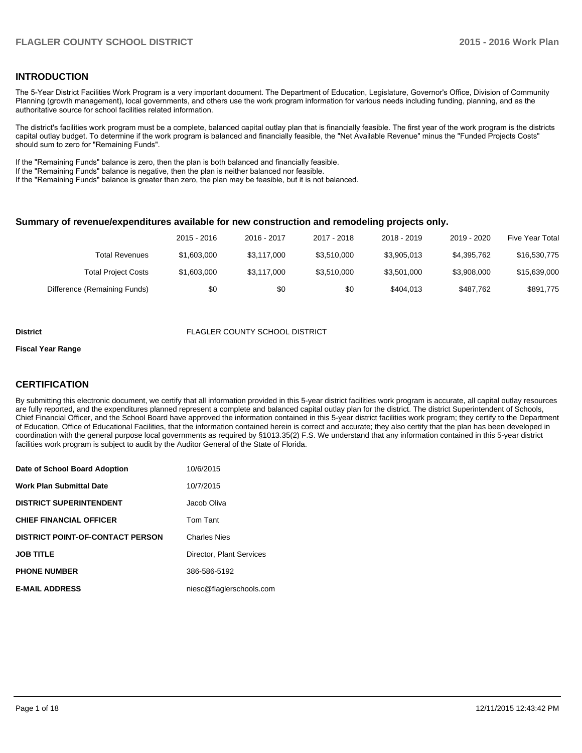### **INTRODUCTION**

The 5-Year District Facilities Work Program is a very important document. The Department of Education, Legislature, Governor's Office, Division of Community Planning (growth management), local governments, and others use the work program information for various needs including funding, planning, and as the authoritative source for school facilities related information.

The district's facilities work program must be a complete, balanced capital outlay plan that is financially feasible. The first year of the work program is the districts capital outlay budget. To determine if the work program is balanced and financially feasible, the "Net Available Revenue" minus the "Funded Projects Costs" should sum to zero for "Remaining Funds".

If the "Remaining Funds" balance is zero, then the plan is both balanced and financially feasible.

If the "Remaining Funds" balance is negative, then the plan is neither balanced nor feasible.

If the "Remaining Funds" balance is greater than zero, the plan may be feasible, but it is not balanced.

#### **Summary of revenue/expenditures available for new construction and remodeling projects only.**

|                              | 2015 - 2016 | 2016 - 2017 | 2017 - 2018 | 2018 - 2019 | 2019 - 2020 | Five Year Total |
|------------------------------|-------------|-------------|-------------|-------------|-------------|-----------------|
| Total Revenues               | \$1,603,000 | \$3.117.000 | \$3.510.000 | \$3,905,013 | \$4,395,762 | \$16,530,775    |
| <b>Total Project Costs</b>   | \$1,603,000 | \$3,117,000 | \$3.510.000 | \$3.501.000 | \$3,908,000 | \$15,639,000    |
| Difference (Remaining Funds) | \$0         | \$0         | \$0         | \$404.013   | \$487.762   | \$891,775       |

#### **District** FLAGLER COUNTY SCHOOL DISTRICT

#### **Fiscal Year Range**

# **CERTIFICATION**

By submitting this electronic document, we certify that all information provided in this 5-year district facilities work program is accurate, all capital outlay resources are fully reported, and the expenditures planned represent a complete and balanced capital outlay plan for the district. The district Superintendent of Schools, Chief Financial Officer, and the School Board have approved the information contained in this 5-year district facilities work program; they certify to the Department of Education, Office of Educational Facilities, that the information contained herein is correct and accurate; they also certify that the plan has been developed in coordination with the general purpose local governments as required by §1013.35(2) F.S. We understand that any information contained in this 5-year district facilities work program is subject to audit by the Auditor General of the State of Florida.

| Date of School Board Adoption           | 10/6/2015                |
|-----------------------------------------|--------------------------|
| <b>Work Plan Submittal Date</b>         | 10/7/2015                |
| <b>DISTRICT SUPERINTENDENT</b>          | Jacob Oliva              |
| <b>CHIEF FINANCIAL OFFICER</b>          | Tom Tant                 |
| <b>DISTRICT POINT-OF-CONTACT PERSON</b> | <b>Charles Nies</b>      |
| <b>JOB TITLE</b>                        | Director, Plant Services |
| <b>PHONE NUMBER</b>                     | 386-586-5192             |
| <b>E-MAIL ADDRESS</b>                   | niesc@flaglerschools.com |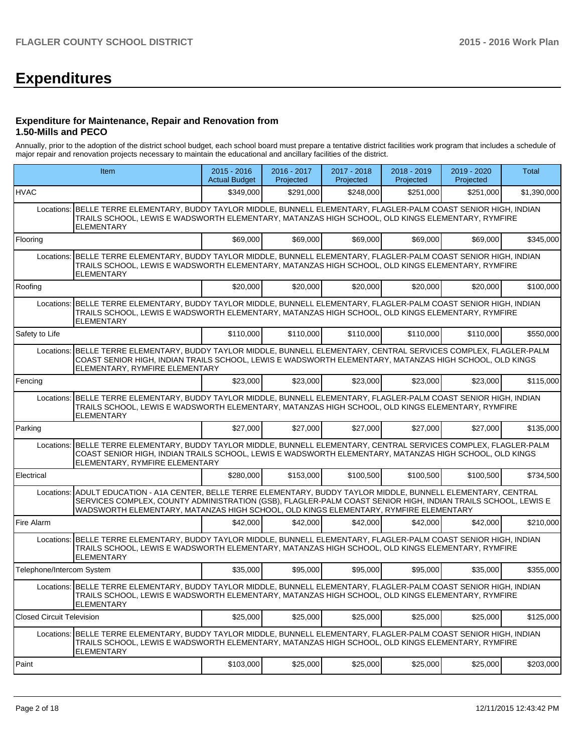# **Expenditures**

#### **Expenditure for Maintenance, Repair and Renovation from 1.50-Mills and PECO**

Annually, prior to the adoption of the district school budget, each school board must prepare a tentative district facilities work program that includes a schedule of major repair and renovation projects necessary to maintain the educational and ancillary facilities of the district.

|                                  | Item                                                                                                                                                                                                                                                                                                           | $2015 - 2016$<br><b>Actual Budget</b> | 2016 - 2017<br>Projected | 2017 - 2018<br>Projected | 2018 - 2019<br>Projected | 2019 - 2020<br>Projected | Total       |
|----------------------------------|----------------------------------------------------------------------------------------------------------------------------------------------------------------------------------------------------------------------------------------------------------------------------------------------------------------|---------------------------------------|--------------------------|--------------------------|--------------------------|--------------------------|-------------|
| <b>HVAC</b>                      |                                                                                                                                                                                                                                                                                                                | \$349,000                             | \$291,000                | \$248,000                | \$251.000                | \$251,000                | \$1,390,000 |
|                                  | Locations: BELLE TERRE ELEMENTARY, BUDDY TAYLOR MIDDLE, BUNNELL ELEMENTARY, FLAGLER-PALM COAST SENIOR HIGH, INDIAN<br>TRAILS SCHOOL, LEWIS E WADSWORTH ELEMENTARY, MATANZAS HIGH SCHOOL, OLD KINGS ELEMENTARY, RYMFIRE<br><b>ELEMENTARY</b>                                                                    |                                       |                          |                          |                          |                          |             |
| Flooring                         |                                                                                                                                                                                                                                                                                                                | \$69,000                              | \$69,000                 | \$69,000                 | \$69,000                 | \$69,000                 | \$345,000   |
|                                  | Locations: BELLE TERRE ELEMENTARY, BUDDY TAYLOR MIDDLE, BUNNELL ELEMENTARY, FLAGLER-PALM COAST SENIOR HIGH, INDIAN<br>TRAILS SCHOOL, LEWIS E WADSWORTH ELEMENTARY, MATANZAS HIGH SCHOOL, OLD KINGS ELEMENTARY, RYMFIRE<br><b>ELEMENTARY</b>                                                                    |                                       |                          |                          |                          |                          |             |
| Roofing                          |                                                                                                                                                                                                                                                                                                                | \$20,000                              | \$20,000                 | \$20,000                 | \$20,000                 | \$20,000                 | \$100,000   |
| Locations:                       | BELLE TERRE ELEMENTARY, BUDDY TAYLOR MIDDLE, BUNNELL ELEMENTARY, FLAGLER-PALM COAST SENIOR HIGH, INDIAN<br>TRAILS SCHOOL, LEWIS E WADSWORTH ELEMENTARY, MATANZAS HIGH SCHOOL, OLD KINGS ELEMENTARY, RYMFIRE<br><b>ELEMENTARY</b>                                                                               |                                       |                          |                          |                          |                          |             |
| Safety to Life                   |                                                                                                                                                                                                                                                                                                                | \$110,000                             | \$110,000                | \$110,000                | \$110,000                | \$110,000                | \$550,000   |
| Locations:                       | BELLE TERRE ELEMENTARY, BUDDY TAYLOR MIDDLE, BUNNELL ELEMENTARY, CENTRAL SERVICES COMPLEX, FLAGLER-PALM<br>COAST SENIOR HIGH, INDIAN TRAILS SCHOOL, LEWIS E WADSWORTH ELEMENTARY, MATANZAS HIGH SCHOOL, OLD KINGS<br>ELEMENTARY, RYMFIRE ELEMENTARY                                                            |                                       |                          |                          |                          |                          |             |
| Fencing                          |                                                                                                                                                                                                                                                                                                                | \$23,000                              | \$23,000                 | \$23,000                 | \$23,000                 | \$23,000                 | \$115,000   |
| Locations:                       | BELLE TERRE ELEMENTARY, BUDDY TAYLOR MIDDLE, BUNNELL ELEMENTARY, FLAGLER-PALM COAST SENIOR HIGH, INDIAN<br>TRAILS SCHOOL, LEWIS E WADSWORTH ELEMENTARY, MATANZAS HIGH SCHOOL, OLD KINGS ELEMENTARY, RYMFIRE<br>ELEMENTARY                                                                                      |                                       |                          |                          |                          |                          |             |
| Parking                          |                                                                                                                                                                                                                                                                                                                | \$27,000                              | \$27,000                 | \$27,000                 | \$27,000                 | \$27,000                 | \$135,000   |
| Locations:                       | BELLE TERRE ELEMENTARY, BUDDY TAYLOR MIDDLE, BUNNELL ELEMENTARY, CENTRAL SERVICES COMPLEX, FLAGLER-PALM<br>COAST SENIOR HIGH, INDIAN TRAILS SCHOOL, LEWIS E WADSWORTH ELEMENTARY, MATANZAS HIGH SCHOOL, OLD KINGS<br>ELEMENTARY, RYMFIRE ELEMENTARY                                                            |                                       |                          |                          |                          |                          |             |
| Electrical                       |                                                                                                                                                                                                                                                                                                                | \$280,000                             | \$153,000                | \$100,500                | \$100,500                | \$100,500                | \$734,500   |
| Locations:                       | ADULT EDUCATION - A1A CENTER, BELLE TERRE ELEMENTARY, BUDDY TAYLOR MIDDLE, BUNNELL ELEMENTARY, CENTRAL<br>SERVICES COMPLEX, COUNTY ADMINISTRATION (GSB), FLAGLER-PALM COAST SENIOR HIGH, INDIAN TRAILS SCHOOL, LEWIS E<br>WADSWORTH ELEMENTARY, MATANZAS HIGH SCHOOL, OLD KINGS ELEMENTARY, RYMFIRE ELEMENTARY |                                       |                          |                          |                          |                          |             |
| Fire Alarm                       |                                                                                                                                                                                                                                                                                                                | \$42,000                              | \$42,000                 | \$42,000                 | \$42,000                 | \$42,000                 | \$210,000   |
|                                  | Locations: BELLE TERRE ELEMENTARY, BUDDY TAYLOR MIDDLE, BUNNELL ELEMENTARY, FLAGLER-PALM COAST SENIOR HIGH, INDIAN<br>TRAILS SCHOOL, LEWIS E WADSWORTH ELEMENTARY, MATANZAS HIGH SCHOOL, OLD KINGS ELEMENTARY, RYMFIRE<br><b>ELEMENTARY</b>                                                                    |                                       |                          |                          |                          |                          |             |
| Telephone/Intercom System        |                                                                                                                                                                                                                                                                                                                | \$35,000                              | \$95,000                 | \$95,000                 | \$95,000                 | \$35,000                 | \$355,000   |
|                                  | Locations: BELLE TERRE ELEMENTARY, BUDDY TAYLOR MIDDLE, BUNNELL ELEMENTARY, FLAGLER-PALM COAST SENIOR HIGH, INDIAN<br>TRAILS SCHOOL, LEWIS E WADSWORTH ELEMENTARY, MATANZAS HIGH SCHOOL, OLD KINGS ELEMENTARY, RYMFIRE<br>ELEMENTARY                                                                           |                                       |                          |                          |                          |                          |             |
| <b>Closed Circuit Television</b> |                                                                                                                                                                                                                                                                                                                | \$25,000                              | \$25,000                 | \$25,000                 | \$25,000                 | \$25,000                 | \$125,000   |
| Locations:                       | BELLE TERRE ELEMENTARY, BUDDY TAYLOR MIDDLE, BUNNELL ELEMENTARY, FLAGLER-PALM COAST SENIOR HIGH, INDIAN<br>TRAILS SCHOOL, LEWIS E WADSWORTH ELEMENTARY, MATANZAS HIGH SCHOOL, OLD KINGS ELEMENTARY, RYMFIRE<br>ELEMENTARY                                                                                      |                                       |                          |                          |                          |                          |             |
| Paint                            |                                                                                                                                                                                                                                                                                                                | \$103,000                             | \$25,000                 | \$25,000                 | \$25,000                 | \$25,000                 | \$203,000   |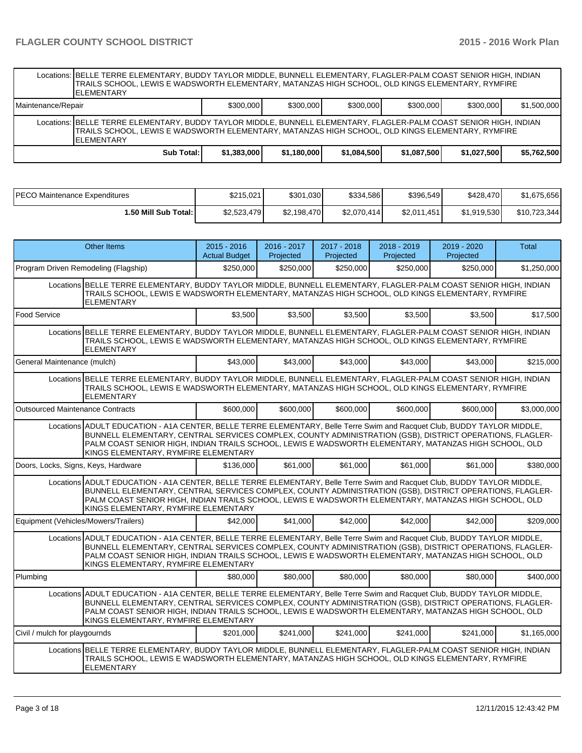|                    | Locations: BELLE TERRE ELEMENTARY, BUDDY TAYLOR MIDDLE, BUNNELL ELEMENTARY, FLAGLER-PALM COAST SENIOR HIGH, INDIAN<br>TRAILS SCHOOL, LEWIS E WADSWORTH ELEMENTARY, MATANZAS HIGH SCHOOL, OLD KINGS ELEMENTARY, RYMFIRE<br><b>ELEMENTARY</b> |             |             |             |             |             |             |  |  |  |
|--------------------|---------------------------------------------------------------------------------------------------------------------------------------------------------------------------------------------------------------------------------------------|-------------|-------------|-------------|-------------|-------------|-------------|--|--|--|
| Maintenance/Repair |                                                                                                                                                                                                                                             | \$300,000   | \$300,000   | \$300,000   | \$300,000   | \$300,000   | \$1,500,000 |  |  |  |
|                    | Locations: BELLE TERRE ELEMENTARY, BUDDY TAYLOR MIDDLE, BUNNELL ELEMENTARY, FLAGLER-PALM COAST SENIOR HIGH, INDIAN<br>TRAILS SCHOOL, LEWIS E WADSWORTH ELEMENTARY, MATANZAS HIGH SCHOOL, OLD KINGS ELEMENTARY, RYMFIRE<br><b>ELEMENTARY</b> |             |             |             |             |             |             |  |  |  |
|                    | Sub Total: I                                                                                                                                                                                                                                | \$1,383,000 | \$1,180,000 | \$1,084,500 | \$1,087,500 | \$1,027,500 | \$5,762,500 |  |  |  |

| IPECO Maintenance Expenditures | \$215.021   | \$301,030   | \$334,586   | \$396,549   | \$428,470   | \$1,675,656  |
|--------------------------------|-------------|-------------|-------------|-------------|-------------|--------------|
| I.50 Mill Sub Total: I         | \$2,523,479 | \$2,198,470 | \$2,070,414 | \$2.011.451 | \$1,919,530 | \$10,723,344 |

| <b>Other Items</b>                                                                                                                                                                                                                                                                                                                                                                   |                                                                                                                                                                                                                                                                                                                                                                                      | $2015 - 2016$<br><b>Actual Budget</b> | 2016 - 2017<br>Projected | 2017 - 2018<br>Projected | 2018 - 2019<br>Projected | 2019 - 2020<br>Projected | Total       |  |  |  |  |
|--------------------------------------------------------------------------------------------------------------------------------------------------------------------------------------------------------------------------------------------------------------------------------------------------------------------------------------------------------------------------------------|--------------------------------------------------------------------------------------------------------------------------------------------------------------------------------------------------------------------------------------------------------------------------------------------------------------------------------------------------------------------------------------|---------------------------------------|--------------------------|--------------------------|--------------------------|--------------------------|-------------|--|--|--|--|
| Program Driven Remodeling (Flagship)                                                                                                                                                                                                                                                                                                                                                 |                                                                                                                                                                                                                                                                                                                                                                                      | \$250,000                             | \$250,000                | \$250,000                | \$250,000                | \$250,000                | \$1,250,000 |  |  |  |  |
| Locations BELLE TERRE ELEMENTARY, BUDDY TAYLOR MIDDLE, BUNNELL ELEMENTARY, FLAGLER-PALM COAST SENIOR HIGH, INDIAN<br>TRAILS SCHOOL, LEWIS E WADSWORTH ELEMENTARY, MATANZAS HIGH SCHOOL, OLD KINGS ELEMENTARY, RYMFIRE<br><b>ELEMENTARY</b>                                                                                                                                           |                                                                                                                                                                                                                                                                                                                                                                                      |                                       |                          |                          |                          |                          |             |  |  |  |  |
| <b>Food Service</b>                                                                                                                                                                                                                                                                                                                                                                  |                                                                                                                                                                                                                                                                                                                                                                                      | \$3,500                               | \$3,500                  | \$3,500                  | \$3.500                  | \$3,500                  | \$17,500    |  |  |  |  |
| <b>ELEMENTARY</b>                                                                                                                                                                                                                                                                                                                                                                    | Locations BELLE TERRE ELEMENTARY, BUDDY TAYLOR MIDDLE, BUNNELL ELEMENTARY, FLAGLER-PALM COAST SENIOR HIGH, INDIAN<br>TRAILS SCHOOL, LEWIS E WADSWORTH ELEMENTARY, MATANZAS HIGH SCHOOL, OLD KINGS ELEMENTARY, RYMFIRE                                                                                                                                                                |                                       |                          |                          |                          |                          |             |  |  |  |  |
| General Maintenance (mulch)                                                                                                                                                                                                                                                                                                                                                          |                                                                                                                                                                                                                                                                                                                                                                                      | \$43,000                              | \$43,000                 | \$43,000                 | \$43,000                 | \$43,000                 | \$215,000   |  |  |  |  |
|                                                                                                                                                                                                                                                                                                                                                                                      | Locations BELLE TERRE ELEMENTARY, BUDDY TAYLOR MIDDLE, BUNNELL ELEMENTARY, FLAGLER-PALM COAST SENIOR HIGH, INDIAN<br>TRAILS SCHOOL, LEWIS E WADSWORTH ELEMENTARY, MATANZAS HIGH SCHOOL, OLD KINGS ELEMENTARY, RYMFIRE<br><b>ELEMENTARY</b>                                                                                                                                           |                                       |                          |                          |                          |                          |             |  |  |  |  |
| <b>Outsourced Maintenance Contracts</b>                                                                                                                                                                                                                                                                                                                                              |                                                                                                                                                                                                                                                                                                                                                                                      | \$600,000                             | \$600,000                | \$600,000                | \$600,000                | \$600,000                | \$3,000,000 |  |  |  |  |
| Locations ADULT EDUCATION - A1A CENTER, BELLE TERRE ELEMENTARY, Belle Terre Swim and Racquet Club, BUDDY TAYLOR MIDDLE,<br>BUNNELL ELEMENTARY, CENTRAL SERVICES COMPLEX, COUNTY ADMINISTRATION (GSB), DISTRICT OPERATIONS, FLAGLER-<br>PALM COAST SENIOR HIGH, INDIAN TRAILS SCHOOL, LEWIS E WADSWORTH ELEMENTARY, MATANZAS HIGH SCHOOL, OLD<br>KINGS ELEMENTARY, RYMFIRE ELEMENTARY |                                                                                                                                                                                                                                                                                                                                                                                      |                                       |                          |                          |                          |                          |             |  |  |  |  |
| Doors, Locks, Signs, Keys, Hardware                                                                                                                                                                                                                                                                                                                                                  |                                                                                                                                                                                                                                                                                                                                                                                      | \$136,000                             | \$61.000                 | \$61,000                 | \$61,000                 | \$61.000                 | \$380.000   |  |  |  |  |
|                                                                                                                                                                                                                                                                                                                                                                                      | Locations ADULT EDUCATION - A1A CENTER, BELLE TERRE ELEMENTARY, Belle Terre Swim and Racquet Club, BUDDY TAYLOR MIDDLE,<br>BUNNELL ELEMENTARY, CENTRAL SERVICES COMPLEX, COUNTY ADMINISTRATION (GSB), DISTRICT OPERATIONS, FLAGLER-<br>PALM COAST SENIOR HIGH, INDIAN TRAILS SCHOOL, LEWIS E WADSWORTH ELEMENTARY, MATANZAS HIGH SCHOOL, OLD<br>KINGS ELEMENTARY, RYMFIRE ELEMENTARY |                                       |                          |                          |                          |                          |             |  |  |  |  |
| Equipment (Vehicles/Mowers/Trailers)                                                                                                                                                                                                                                                                                                                                                 |                                                                                                                                                                                                                                                                                                                                                                                      | \$42,000                              | \$41.000                 | \$42,000                 | \$42,000                 | \$42,000                 | \$209.000   |  |  |  |  |
|                                                                                                                                                                                                                                                                                                                                                                                      | Locations ADULT EDUCATION - A1A CENTER, BELLE TERRE ELEMENTARY, Belle Terre Swim and Racquet Club, BUDDY TAYLOR MIDDLE,<br>BUNNELL ELEMENTARY, CENTRAL SERVICES COMPLEX, COUNTY ADMINISTRATION (GSB), DISTRICT OPERATIONS, FLAGLER-<br>PALM COAST SENIOR HIGH, INDIAN TRAILS SCHOOL, LEWIS E WADSWORTH ELEMENTARY, MATANZAS HIGH SCHOOL, OLD<br>KINGS ELEMENTARY, RYMFIRE ELEMENTARY |                                       |                          |                          |                          |                          |             |  |  |  |  |
| Plumbing                                                                                                                                                                                                                                                                                                                                                                             |                                                                                                                                                                                                                                                                                                                                                                                      | \$80,000                              | \$80,000                 | \$80,000                 | \$80,000                 | \$80,000                 | \$400,000   |  |  |  |  |
|                                                                                                                                                                                                                                                                                                                                                                                      | Locations ADULT EDUCATION - A1A CENTER. BELLE TERRE ELEMENTARY. Belle Terre Swim and Racquet Club. BUDDY TAYLOR MIDDLE.<br>BUNNELL ELEMENTARY, CENTRAL SERVICES COMPLEX, COUNTY ADMINISTRATION (GSB), DISTRICT OPERATIONS, FLAGLER-<br>PALM COAST SENIOR HIGH, INDIAN TRAILS SCHOOL, LEWIS E WADSWORTH ELEMENTARY, MATANZAS HIGH SCHOOL, OLD<br>KINGS ELEMENTARY, RYMFIRE ELEMENTARY |                                       |                          |                          |                          |                          |             |  |  |  |  |
| Civil / mulch for playgournds                                                                                                                                                                                                                                                                                                                                                        |                                                                                                                                                                                                                                                                                                                                                                                      | \$201.000                             | \$241,000                | \$241.000                | \$241.000                | \$241.000                | \$1,165,000 |  |  |  |  |
| <b>ELEMENTARY</b>                                                                                                                                                                                                                                                                                                                                                                    | Locations BELLE TERRE ELEMENTARY, BUDDY TAYLOR MIDDLE, BUNNELL ELEMENTARY, FLAGLER-PALM COAST SENIOR HIGH, INDIAN<br>TRAILS SCHOOL. LEWIS E WADSWORTH ELEMENTARY. MATANZAS HIGH SCHOOL. OLD KINGS ELEMENTARY. RYMFIRE                                                                                                                                                                |                                       |                          |                          |                          |                          |             |  |  |  |  |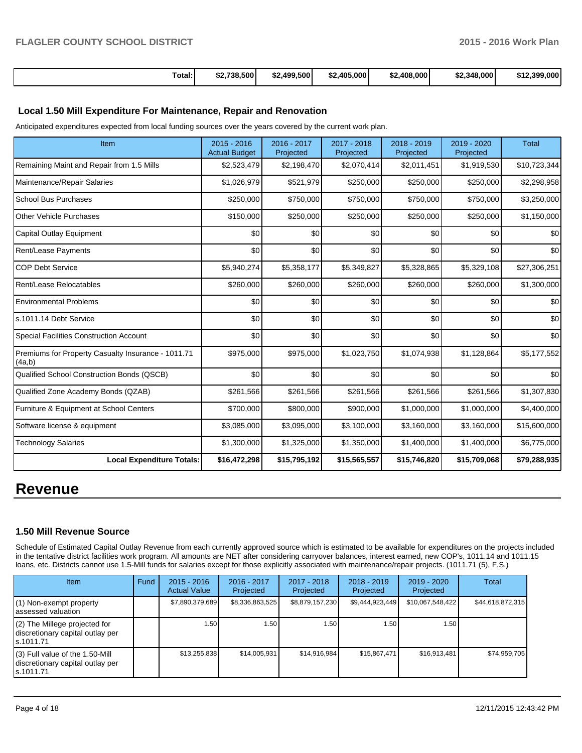| Total:<br>. | \$2.738.500 | \$2,499,500 | $$2.405.000$ <sup>1</sup> | \$2,408,000 | \$2.348,000 | \$12,399,000 |
|-------------|-------------|-------------|---------------------------|-------------|-------------|--------------|
|             |             |             |                           |             |             |              |

### **Local 1.50 Mill Expenditure For Maintenance, Repair and Renovation**

Anticipated expenditures expected from local funding sources over the years covered by the current work plan.

| Item                                                         | 2015 - 2016<br><b>Actual Budget</b> | 2016 - 2017<br>Projected | 2017 - 2018<br>Projected | 2018 - 2019<br>Projected | 2019 - 2020<br>Projected | <b>Total</b> |
|--------------------------------------------------------------|-------------------------------------|--------------------------|--------------------------|--------------------------|--------------------------|--------------|
| Remaining Maint and Repair from 1.5 Mills                    | \$2,523,479                         | \$2,198,470              | \$2,070,414              | \$2,011,451              | \$1,919,530              | \$10,723,344 |
| Maintenance/Repair Salaries                                  | \$1,026,979                         | \$521,979                | \$250,000                | \$250,000                | \$250,000                | \$2,298,958  |
| <b>School Bus Purchases</b>                                  | \$250,000                           | \$750,000                | \$750,000                | \$750,000                | \$750,000                | \$3,250,000  |
| <b>Other Vehicle Purchases</b>                               | \$150,000                           | \$250,000                | \$250,000                | \$250,000                | \$250,000                | \$1,150,000  |
| <b>Capital Outlay Equipment</b>                              | \$0                                 | \$0                      | \$0                      | \$0                      | \$0                      | \$0          |
| Rent/Lease Payments                                          | \$0                                 | \$0                      | \$0                      | \$0                      | \$0                      | \$0          |
| <b>COP Debt Service</b>                                      | \$5,940,274                         | \$5,358,177              | \$5,349,827              | \$5,328,865              | \$5,329,108              | \$27,306,251 |
| Rent/Lease Relocatables                                      | \$260,000                           | \$260,000                | \$260,000                | \$260,000                | \$260,000                | \$1,300,000  |
| <b>Environmental Problems</b>                                | \$0                                 | \$0                      | \$0                      | \$0                      | \$0                      | \$0          |
| s.1011.14 Debt Service                                       | \$0                                 | \$0                      | \$0                      | \$0                      | \$0                      | \$0          |
| <b>Special Facilities Construction Account</b>               | $\Omega$                            | \$0                      | \$0                      | \$0                      | \$0                      | \$0          |
| Premiums for Property Casualty Insurance - 1011.71<br>(4a,b) | \$975,000                           | \$975,000                | \$1,023,750              | \$1,074,938              | \$1,128,864              | \$5,177,552  |
| Qualified School Construction Bonds (QSCB)                   | \$0                                 | \$0                      | \$0                      | \$0                      | \$0                      | \$0          |
| Qualified Zone Academy Bonds (QZAB)                          | \$261,566                           | \$261,566                | \$261,566                | \$261,566                | \$261,566                | \$1,307,830  |
| Furniture & Equipment at School Centers                      | \$700,000                           | \$800,000                | \$900,000                | \$1,000,000              | \$1,000,000              | \$4,400,000  |
| Software license & equipment                                 | \$3,085,000                         | \$3,095,000              | \$3,100,000              | \$3,160,000              | \$3,160,000              | \$15,600,000 |
| <b>Technology Salaries</b>                                   | \$1,300,000                         | \$1,325,000              | \$1,350,000              | \$1,400,000              | \$1,400,000              | \$6,775,000  |
| <b>Local Expenditure Totals:</b>                             | \$16,472,298                        | \$15,795,192             | \$15,565,557             | \$15,746,820             | \$15,709,068             | \$79,288,935 |

# **Revenue**

## **1.50 Mill Revenue Source**

Schedule of Estimated Capital Outlay Revenue from each currently approved source which is estimated to be available for expenditures on the projects included in the tentative district facilities work program. All amounts are NET after considering carryover balances, interest earned, new COP's, 1011.14 and 1011.15 loans, etc. Districts cannot use 1.5-Mill funds for salaries except for those explicitly associated with maintenance/repair projects. (1011.71 (5), F.S.)

| Item                                                                                | Fund | $2015 - 2016$<br><b>Actual Value</b> | 2016 - 2017<br>Projected | $2017 - 2018$<br>Projected | $2018 - 2019$<br>Projected | $2019 - 2020$<br>Projected | Total            |
|-------------------------------------------------------------------------------------|------|--------------------------------------|--------------------------|----------------------------|----------------------------|----------------------------|------------------|
| $(1)$ Non-exempt property<br>lassessed valuation                                    |      | \$7,890,379,689                      | \$8,336,863,525          | \$8,879,157,230            | \$9,444,923,449            | \$10,067,548,422           | \$44,618,872,315 |
| $(2)$ The Millege projected for<br>discretionary capital outlay per<br>ls.1011.71   |      | 1.50                                 | 1.50                     | 1.50                       | 1.50                       | 1.50                       |                  |
| $(3)$ Full value of the 1.50-Mill<br>discretionary capital outlay per<br>ls.1011.71 |      | \$13,255,838                         | \$14,005.931             | \$14,916,984               | \$15,867,471               | \$16,913,481               | \$74,959,705     |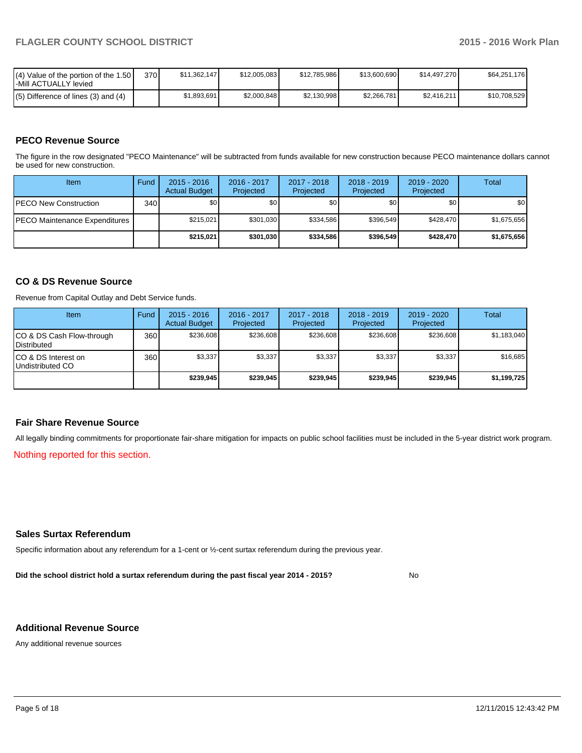| $\mathsf{I}(\mathsf{4})$ Value of the portion of the 1.50 $\mathsf{I}$<br>-Mill ACTUALLY levied | 370 | \$11.362.147 | \$12,005,083 | \$12,785,986 | \$13,600,690 | \$14,497,270 | \$64,251,176 |
|-------------------------------------------------------------------------------------------------|-----|--------------|--------------|--------------|--------------|--------------|--------------|
| $(5)$ Difference of lines (3) and (4)                                                           |     | \$1.893.691  | \$2,000,848  | \$2,130,998  | \$2,266,781  | \$2.416.211  | \$10,708,529 |

# **PECO Revenue Source**

The figure in the row designated "PECO Maintenance" will be subtracted from funds available for new construction because PECO maintenance dollars cannot be used for new construction.

| Item                                  | Fund             | $2015 - 2016$<br><b>Actual Budget</b> | 2016 - 2017<br>Projected | 2017 - 2018<br>Projected | $2018 - 2019$<br>Projected | $2019 - 2020$<br>Projected | Total       |
|---------------------------------------|------------------|---------------------------------------|--------------------------|--------------------------|----------------------------|----------------------------|-------------|
| <b>IPECO New Construction</b>         | 340 <sup>l</sup> | \$0                                   | \$0                      | \$0                      | \$0                        | \$0                        | \$0         |
| <b>IPECO Maintenance Expenditures</b> |                  | \$215,021                             | \$301,030                | \$334.586                | \$396.549                  | \$428,470                  | \$1,675,656 |
|                                       |                  | \$215.021                             | \$301,030                | \$334,586                | \$396,549                  | \$428,470                  | \$1,675,656 |

## **CO & DS Revenue Source**

Revenue from Capital Outlay and Debt Service funds.

| Item                                            | Fund | $2015 - 2016$<br><b>Actual Budget</b> | $2016 - 2017$<br>Projected | 2017 - 2018<br>Projected | $2018 - 2019$<br>Projected | $2019 - 2020$<br>Projected | Total       |
|-------------------------------------------------|------|---------------------------------------|----------------------------|--------------------------|----------------------------|----------------------------|-------------|
| CO & DS Cash Flow-through<br><b>Distributed</b> | 360  | \$236,608                             | \$236,608                  | \$236,608                | \$236,608                  | \$236,608                  | \$1,183,040 |
| CO & DS Interest on<br>Undistributed CO         | 360  | \$3,337                               | \$3,337                    | \$3,337                  | \$3,337                    | \$3,337                    | \$16,685    |
|                                                 |      | \$239.945                             | \$239.945                  | \$239,945                | \$239,945                  | \$239,945                  | \$1,199,725 |

### **Fair Share Revenue Source**

All legally binding commitments for proportionate fair-share mitigation for impacts on public school facilities must be included in the 5-year district work program.

Nothing reported for this section.

#### **Sales Surtax Referendum**

Specific information about any referendum for a 1-cent or ½-cent surtax referendum during the previous year.

**Did the school district hold a surtax referendum during the past fiscal year 2014 - 2015?**

No

### **Additional Revenue Source**

Any additional revenue sources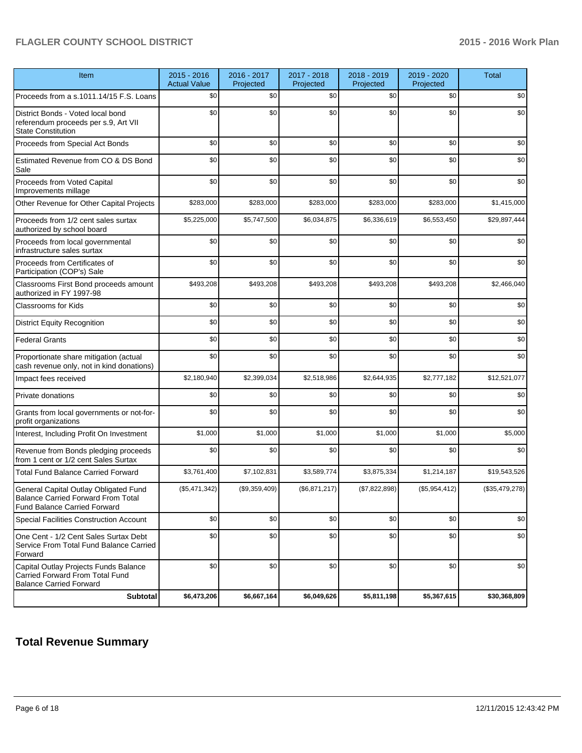| Item                                                                                                                      | $2015 - 2016$<br><b>Actual Value</b> | 2016 - 2017<br>Projected | 2017 - 2018<br>Projected | 2018 - 2019<br>Projected | 2019 - 2020<br>Projected | <b>Total</b>     |
|---------------------------------------------------------------------------------------------------------------------------|--------------------------------------|--------------------------|--------------------------|--------------------------|--------------------------|------------------|
| Proceeds from a s.1011.14/15 F.S. Loans                                                                                   | \$0                                  | \$0                      | \$0                      | \$0                      | \$0                      | \$0              |
| District Bonds - Voted local bond<br>referendum proceeds per s.9, Art VII<br><b>State Constitution</b>                    | \$0                                  | \$0                      | \$0                      | \$0                      | \$0                      | \$0              |
| Proceeds from Special Act Bonds                                                                                           | \$0                                  | \$0                      | \$0                      | \$0                      | \$0                      | \$0              |
| Estimated Revenue from CO & DS Bond<br>Sale                                                                               | \$0                                  | \$0                      | \$0                      | \$0                      | \$0                      | \$0              |
| Proceeds from Voted Capital<br>Improvements millage                                                                       | \$0                                  | \$0                      | \$0                      | \$0                      | \$0                      | \$0 <sub>1</sub> |
| Other Revenue for Other Capital Projects                                                                                  | \$283,000                            | \$283,000                | \$283,000                | \$283,000                | \$283,000                | \$1,415,000      |
| Proceeds from 1/2 cent sales surtax<br>authorized by school board                                                         | \$5,225,000                          | \$5,747,500              | \$6,034,875              | \$6,336,619              | \$6,553,450              | \$29,897,444     |
| Proceeds from local governmental<br>infrastructure sales surtax                                                           | \$0                                  | \$0                      | \$0                      | \$0                      | \$0                      | \$0              |
| Proceeds from Certificates of<br>Participation (COP's) Sale                                                               | \$0                                  | \$0                      | \$0                      | \$0                      | \$0                      | \$0              |
| Classrooms First Bond proceeds amount<br>authorized in FY 1997-98                                                         | \$493,208                            | \$493,208                | \$493,208                | \$493,208                | \$493,208                | \$2,466,040      |
| Classrooms for Kids                                                                                                       | \$0                                  | \$0                      | \$0                      | \$0                      | \$0                      | \$0              |
| <b>District Equity Recognition</b>                                                                                        | \$0                                  | \$0                      | \$0                      | \$0                      | \$0                      | \$0              |
| <b>Federal Grants</b>                                                                                                     | \$0                                  | \$0                      | \$0                      | \$0                      | \$0                      | \$0              |
| Proportionate share mitigation (actual<br>cash revenue only, not in kind donations)                                       | \$0                                  | \$0                      | \$0                      | \$0                      | \$0                      | \$0              |
| Impact fees received                                                                                                      | \$2,180,940                          | \$2,399,034              | \$2,518,986              | \$2,644,935              | \$2,777,182              | \$12,521,077     |
| Private donations                                                                                                         | \$0                                  | \$0                      | \$0                      | \$0                      | \$0                      | \$0              |
| Grants from local governments or not-for-<br>profit organizations                                                         | \$0                                  | \$0                      | \$0                      | \$0                      | \$0                      | \$0              |
| Interest, Including Profit On Investment                                                                                  | \$1,000                              | \$1,000                  | \$1,000                  | \$1,000                  | \$1,000                  | \$5,000          |
| Revenue from Bonds pledging proceeds<br>from 1 cent or 1/2 cent Sales Surtax                                              | \$0                                  | \$0                      | \$0                      | \$0                      | \$0                      | \$0              |
| <b>Total Fund Balance Carried Forward</b>                                                                                 | \$3,761,400                          | \$7,102,831              | \$3,589,774              | \$3,875,334              | \$1,214,187              | \$19,543,526     |
| General Capital Outlay Obligated Fund<br><b>Balance Carried Forward From Total</b><br><b>Fund Balance Carried Forward</b> | (\$5,471,342)                        | (\$9,359,409)            | (\$6,871,217)            | (\$7,822,898)            | (\$5,954,412)            | (\$35,479,278)   |
| Special Facilities Construction Account                                                                                   | \$0                                  | \$0                      | \$0                      | \$0                      | \$0                      | \$0              |
| One Cent - 1/2 Cent Sales Surtax Debt<br>Service From Total Fund Balance Carried<br>Forward                               | \$0                                  | \$0                      | \$0                      | \$0                      | \$0                      | \$0              |
| Capital Outlay Projects Funds Balance<br>Carried Forward From Total Fund<br><b>Balance Carried Forward</b>                | \$0                                  | \$0                      | \$0                      | \$0                      | \$0                      | \$0              |
| <b>Subtotal</b>                                                                                                           | \$6,473,206                          | \$6,667,164              | \$6,049,626              | \$5,811,198              | \$5,367,615              | \$30,368,809     |

# **Total Revenue Summary**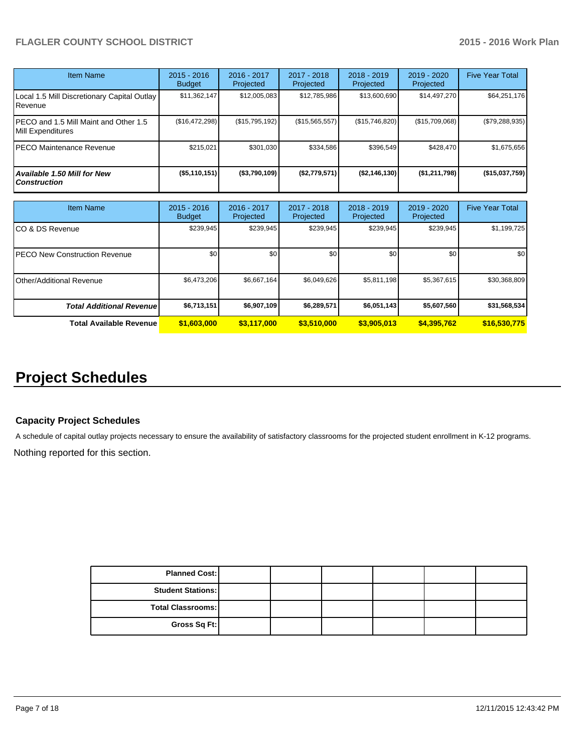| Item Name                                                  | $2015 - 2016$<br><b>Budget</b> | $2016 - 2017$<br>Projected | $2017 - 2018$<br>Projected | $2018 - 2019$<br>Projected | $2019 - 2020$<br>Projected | <b>Five Year Total</b> |
|------------------------------------------------------------|--------------------------------|----------------------------|----------------------------|----------------------------|----------------------------|------------------------|
| Local 1.5 Mill Discretionary Capital Outlay<br>Revenue     | \$11,362,147                   | \$12,005,083               | \$12,785,986               | \$13,600,690               | \$14,497,270               | \$64,251,176           |
| PECO and 1.5 Mill Maint and Other 1.5<br>Mill Expenditures | (S16, 472, 298)                | (\$15,795,192)             | (\$15,565,557)             | (\$15,746,820)             | (\$15,709,068)             | (\$79,288,935)         |
| PECO Maintenance Revenue                                   | \$215.021                      | \$301.030                  | \$334.586                  | \$396.549                  | \$428,470                  | \$1,675,656            |
| Available 1.50 Mill for New<br><b>Construction</b>         | $($ \$5,110,151)               | ( \$3,790,109)             | (\$2,779,571)              | ( \$2,146,130)             | (\$1,211,798)              | (\$15,037,759)         |

| Item Name                         | $2015 - 2016$<br><b>Budget</b> | $2016 - 2017$<br>Projected | 2017 - 2018<br>Projected | $2018 - 2019$<br>Projected | $2019 - 2020$<br>Projected | <b>Five Year Total</b> |
|-----------------------------------|--------------------------------|----------------------------|--------------------------|----------------------------|----------------------------|------------------------|
| ICO & DS Revenue                  | \$239,945                      | \$239,945                  | \$239,945                | \$239,945                  | \$239,945                  | \$1,199,725            |
| IPECO New Construction Revenue    | \$0                            | \$0                        | \$0                      | \$0                        | \$0                        | \$0 <sub>1</sub>       |
| <b>I</b> Other/Additional Revenue | \$6,473,206                    | \$6,667,164                | \$6,049,626              | \$5,811,198                | \$5,367,615                | \$30,368,809           |
| <b>Total Additional Revenuel</b>  | \$6,713,151                    | \$6,907,109                | \$6,289,571              | \$6,051,143                | \$5,607,560                | \$31,568,534           |
| <b>Total Available Revenue</b>    | \$1,603,000                    | \$3,117,000                | \$3,510,000              | \$3,905,013                | \$4,395,762                | \$16,530,775           |

# **Project Schedules**

# **Capacity Project Schedules**

A schedule of capital outlay projects necessary to ensure the availability of satisfactory classrooms for the projected student enrollment in K-12 programs.

Nothing reported for this section.

| <b>Planned Cost:</b>     |  |  |  |
|--------------------------|--|--|--|
| <b>Student Stations:</b> |  |  |  |
| <b>Total Classrooms:</b> |  |  |  |
| Gross Sq Ft:             |  |  |  |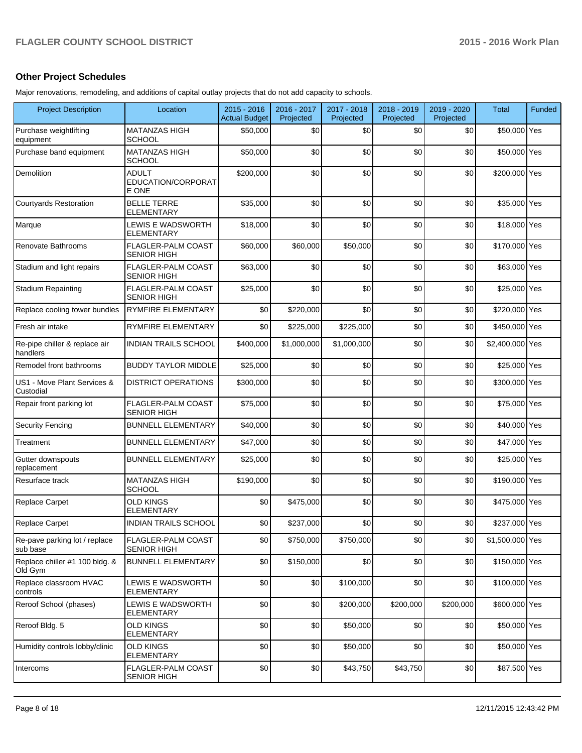# **Other Project Schedules**

Major renovations, remodeling, and additions of capital outlay projects that do not add capacity to schools.

| <b>Project Description</b>                | Location                                        | $2015 - 2016$<br><b>Actual Budget</b> | 2016 - 2017<br>Projected | 2017 - 2018<br>Projected | 2018 - 2019<br>Projected | 2019 - 2020<br>Projected | <b>Total</b>    | <b>Funded</b> |
|-------------------------------------------|-------------------------------------------------|---------------------------------------|--------------------------|--------------------------|--------------------------|--------------------------|-----------------|---------------|
| Purchase weightlifting<br>equipment       | <b>MATANZAS HIGH</b><br><b>SCHOOL</b>           | \$50,000                              | \$0                      | \$0                      | \$0                      | \$0                      | \$50,000 Yes    |               |
| Purchase band equipment                   | <b>MATANZAS HIGH</b><br><b>SCHOOL</b>           | \$50,000                              | \$0                      | \$0                      | \$0                      | \$0                      | \$50,000 Yes    |               |
| Demolition                                | <b>ADULT</b><br>EDUCATION/CORPORAT<br>E ONE     | \$200,000                             | \$0                      | \$0                      | \$0                      | \$0                      | \$200,000 Yes   |               |
| <b>Courtyards Restoration</b>             | <b>BELLE TERRE</b><br><b>ELEMENTARY</b>         | \$35,000                              | \$0                      | \$0                      | \$0                      | \$0                      | \$35,000 Yes    |               |
| Marque                                    | LEWIS E WADSWORTH<br><b>ELEMENTARY</b>          | \$18,000                              | \$0                      | \$0                      | \$0                      | \$0                      | \$18,000 Yes    |               |
| Renovate Bathrooms                        | FLAGLER-PALM COAST<br><b>SENIOR HIGH</b>        | \$60,000                              | \$60,000                 | \$50,000                 | \$0                      | \$0                      | \$170,000 Yes   |               |
| Stadium and light repairs                 | <b>FLAGLER-PALM COAST</b><br><b>SENIOR HIGH</b> | \$63,000                              | \$0                      | \$0                      | \$0                      | \$0                      | \$63,000 Yes    |               |
| <b>Stadium Repainting</b>                 | <b>FLAGLER-PALM COAST</b><br><b>SENIOR HIGH</b> | \$25,000                              | \$0                      | \$0                      | \$0                      | \$0                      | \$25,000 Yes    |               |
| Replace cooling tower bundles             | <b>RYMFIRE ELEMENTARY</b>                       | \$0                                   | \$220,000                | \$0                      | \$0                      | \$0                      | \$220,000 Yes   |               |
| Fresh air intake                          | <b>RYMFIRE ELEMENTARY</b>                       | \$0                                   | \$225,000                | \$225,000                | \$0                      | \$0                      | \$450,000 Yes   |               |
| Re-pipe chiller & replace air<br>handlers | <b>INDIAN TRAILS SCHOOL</b>                     | \$400,000                             | \$1,000,000              | \$1,000,000              | \$0                      | \$0                      | \$2,400,000 Yes |               |
| Remodel front bathrooms                   | <b>BUDDY TAYLOR MIDDLE</b>                      | \$25,000                              | \$0                      | \$0                      | \$0                      | \$0                      | \$25,000 Yes    |               |
| US1 - Move Plant Services &<br>Custodial  | <b>DISTRICT OPERATIONS</b>                      | \$300,000                             | \$0                      | \$0                      | \$0                      | \$0                      | \$300,000 Yes   |               |
| Repair front parking lot                  | <b>FLAGLER-PALM COAST</b><br><b>SENIOR HIGH</b> | \$75,000                              | \$0                      | \$0                      | \$0                      | \$0                      | \$75,000 Yes    |               |
| <b>Security Fencing</b>                   | <b>BUNNELL ELEMENTARY</b>                       | \$40,000                              | \$0                      | \$0                      | \$0                      | \$0                      | \$40,000 Yes    |               |
| Treatment                                 | <b>BUNNELL ELEMENTARY</b>                       | \$47,000                              | \$0                      | \$0                      | \$0                      | \$0                      | \$47,000 Yes    |               |
| Gutter downspouts<br>replacement          | <b>BUNNELL ELEMENTARY</b>                       | \$25,000                              | \$0                      | \$0                      | \$0                      | \$0                      | \$25,000 Yes    |               |
| Resurface track                           | <b>MATANZAS HIGH</b><br><b>SCHOOL</b>           | \$190,000                             | \$0                      | \$0                      | \$0                      | \$0                      | \$190,000 Yes   |               |
| <b>Replace Carpet</b>                     | <b>OLD KINGS</b><br><b>ELEMENTARY</b>           | \$0                                   | \$475,000                | \$0                      | \$0                      | \$0                      | \$475,000 Yes   |               |
| Replace Carpet                            | <b>INDIAN TRAILS SCHOOL</b>                     | \$0                                   | \$237,000                | \$0                      | \$0                      | \$0                      | \$237,000 Yes   |               |
| Re-pave parking lot / replace<br>sub base | <b>FLAGLER-PALM COAST</b><br><b>SENIOR HIGH</b> | \$0                                   | \$750,000                | \$750,000                | \$0                      | \$0                      | \$1,500,000 Yes |               |
| Replace chiller #1 100 bldg. &<br>Old Gym | <b>BUNNELL ELEMENTARY</b>                       | \$0                                   | \$150,000                | \$0                      | \$0                      | \$0                      | \$150,000 Yes   |               |
| Replace classroom HVAC<br>controls        | <b>LEWIS E WADSWORTH</b><br><b>ELEMENTARY</b>   | \$0                                   | \$0                      | \$100,000                | \$0                      | \$0                      | \$100,000 Yes   |               |
| Reroof School (phases)                    | LEWIS E WADSWORTH<br><b>ELEMENTARY</b>          | \$0                                   | \$0                      | \$200,000                | \$200,000                | \$200,000                | \$600,000 Yes   |               |
| Reroof Bldg. 5                            | <b>OLD KINGS</b><br><b>ELEMENTARY</b>           | \$0                                   | \$0                      | \$50,000                 | \$0                      | \$0                      | \$50,000 Yes    |               |
| Humidity controls lobby/clinic            | <b>OLD KINGS</b><br><b>ELEMENTARY</b>           | \$0                                   | \$0                      | \$50,000                 | \$0                      | \$0                      | \$50,000 Yes    |               |
| Intercoms                                 | FLAGLER-PALM COAST<br><b>SENIOR HIGH</b>        | \$0                                   | \$0                      | \$43,750                 | \$43,750                 | \$0                      | \$87,500 Yes    |               |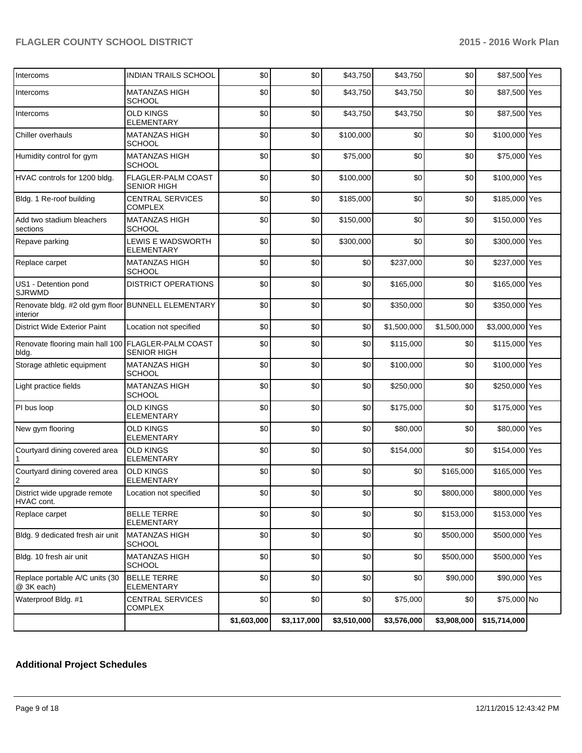|                                                                |                                           | \$1,603,000 | \$3,117,000 | \$3,510,000 | \$3,576,000 | \$3,908,000 | \$15,714,000    |  |
|----------------------------------------------------------------|-------------------------------------------|-------------|-------------|-------------|-------------|-------------|-----------------|--|
| Waterproof Bldg. #1                                            | <b>CENTRAL SERVICES</b><br><b>COMPLEX</b> | \$0         | \$0         | \$0         | \$75,000    | \$0         | \$75,000 No     |  |
| Replace portable A/C units (30<br>@ 3K each)                   | <b>BELLE TERRE</b><br>ELEMENTARY          | \$0         | \$0         | \$0         | \$0         | \$90,000    | \$90,000 Yes    |  |
| Bldg. 10 fresh air unit                                        | <b>MATANZAS HIGH</b><br><b>SCHOOL</b>     | \$0         | \$0         | \$0         | \$0         | \$500,000   | \$500,000 Yes   |  |
| Bldg. 9 dedicated fresh air unit                               | <b>MATANZAS HIGH</b><br><b>SCHOOL</b>     | \$0         | \$0         | \$0         | \$0         | \$500,000   | \$500,000 Yes   |  |
| Replace carpet                                                 | BELLE TERRE<br><b>ELEMENTARY</b>          | \$0         | \$0         | \$0         | \$0         | \$153,000   | \$153,000 Yes   |  |
| District wide upgrade remote<br>HVAC cont.                     | Location not specified                    | \$0         | \$0         | \$0         | sol.        | \$800,000   | \$800,000 Yes   |  |
| Courtyard dining covered area<br>$\overline{2}$                | <b>OLD KINGS</b><br><b>ELEMENTARY</b>     | \$0         | \$0         | \$0         | \$0         | \$165,000   | \$165,000 Yes   |  |
| Courtyard dining covered area                                  | <b>OLD KINGS</b><br><b>ELEMENTARY</b>     | \$0         | \$0         | \$0         | \$154,000   | \$0         | \$154,000 Yes   |  |
| New gym flooring                                               | <b>OLD KINGS</b><br><b>ELEMENTARY</b>     | \$0         | \$0         | \$0         | \$80,000    | \$0         | \$80,000 Yes    |  |
| PI bus loop                                                    | <b>OLD KINGS</b><br><b>ELEMENTARY</b>     | \$0         | \$0         | \$0         | \$175,000   | \$0         | \$175,000 Yes   |  |
| Light practice fields                                          | <b>MATANZAS HIGH</b><br><b>SCHOOL</b>     | \$0         | \$0         | \$0         | \$250,000   | \$0         | \$250,000 Yes   |  |
| Storage athletic equipment                                     | <b>MATANZAS HIGH</b><br>SCHOOL            | \$0         | \$0         | \$0         | \$100,000   | \$0         | \$100,000 Yes   |  |
| Renovate flooring main hall 100 FLAGLER-PALM COAST<br>bldg.    | <b>SENIOR HIGH</b>                        | \$0         | \$0         | \$0         | \$115,000   | \$0         | \$115,000 Yes   |  |
| <b>District Wide Exterior Paint</b>                            | Location not specified                    | \$0         | \$0         | \$0         | \$1,500,000 | \$1,500,000 | \$3,000,000 Yes |  |
| Renovate bldg. #2 old gym floor BUNNELL ELEMENTARY<br>interior |                                           | \$0         | \$0         | \$0         | \$350,000   | \$0         | \$350,000 Yes   |  |
| US1 - Detention pond<br><b>SJRWMD</b>                          | <b>DISTRICT OPERATIONS</b>                | \$0         | \$0         | \$0         | \$165,000   | \$0         | \$165,000 Yes   |  |
| Replace carpet                                                 | <b>MATANZAS HIGH</b><br>SCHOOL            | \$0         | \$0         | \$0         | \$237,000   | \$0         | \$237,000 Yes   |  |
| Repave parking                                                 | LEWIS E WADSWORTH<br><b>ELEMENTARY</b>    | \$0         | \$0         | \$300,000   | \$0         | \$0         | \$300,000 Yes   |  |
| Add two stadium bleachers<br>sections                          | MATANZAS HIGH<br>SCHOOL                   | \$0         | \$0         | \$150,000   | \$0         | \$0         | \$150,000 Yes   |  |
| Bldg. 1 Re-roof building                                       | <b>CENTRAL SERVICES</b><br><b>COMPLEX</b> | \$0         | \$0         | \$185,000   | \$0         | \$0         | \$185,000 Yes   |  |
| HVAC controls for 1200 bldg.                                   | FLAGLER-PALM COAST<br>SENIOR HIGH         | \$0         | \$0         | \$100,000   | \$0         | \$0         | \$100,000 Yes   |  |
| Humidity control for gym                                       | <b>MATANZAS HIGH</b><br><b>SCHOOL</b>     | \$0         | \$0         | \$75,000    | \$0         | \$0         | \$75,000 Yes    |  |
| Chiller overhauls                                              | <b>MATANZAS HIGH</b><br><b>SCHOOL</b>     | \$0         | \$0         | \$100,000   | \$0         | \$0         | \$100,000 Yes   |  |
| Intercoms                                                      | <b>OLD KINGS</b><br><b>ELEMENTARY</b>     | \$0         | \$0         | \$43,750    | \$43,750    | \$0         | \$87,500 Yes    |  |
| Intercoms                                                      | <b>MATANZAS HIGH</b><br>SCHOOL            | \$0         | \$0         | \$43,750    | \$43,750    | \$0         | \$87,500 Yes    |  |
| Intercoms                                                      | <b>INDIAN TRAILS SCHOOL</b>               | \$0         | \$0         | \$43,750    | \$43,750    | \$0         | \$87,500 Yes    |  |

# **Additional Project Schedules**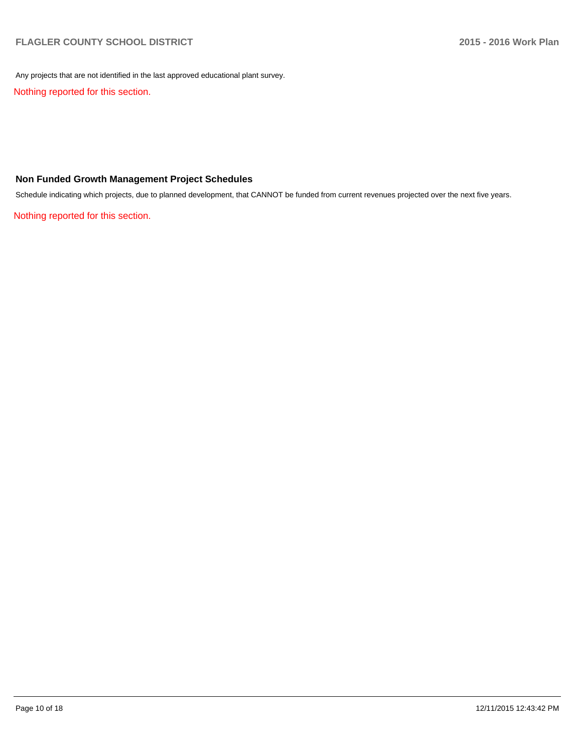Any projects that are not identified in the last approved educational plant survey.

Nothing reported for this section.

# **Non Funded Growth Management Project Schedules**

Schedule indicating which projects, due to planned development, that CANNOT be funded from current revenues projected over the next five years.

Nothing reported for this section.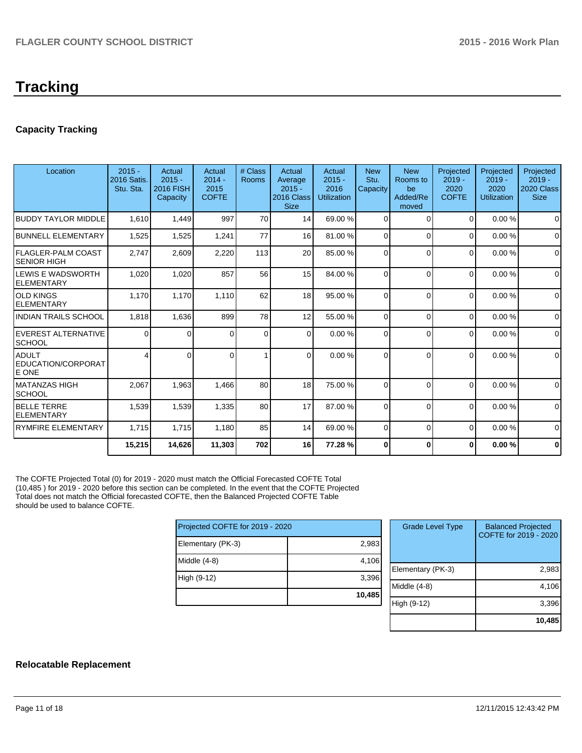# **Capacity Tracking**

| Location                                        | $2015 -$<br><b>2016 Satis.</b><br>Stu. Sta. | Actual<br>$2015 -$<br>2016 FISH<br>Capacity | Actual<br>$2014 -$<br>2015<br><b>COFTE</b> | # Class<br>Rooms | Actual<br>Average<br>$2015 -$<br>2016 Class<br><b>Size</b> | Actual<br>$2015 -$<br>2016<br>Utilization | <b>New</b><br>Stu.<br>Capacity | <b>New</b><br>Rooms to<br>be<br>Added/Re<br>moved | Projected<br>$2019 -$<br>2020<br><b>COFTE</b> | Projected<br>$2019 -$<br>2020<br>Utilization | Projected<br>$2019 -$<br>2020 Class<br><b>Size</b> |
|-------------------------------------------------|---------------------------------------------|---------------------------------------------|--------------------------------------------|------------------|------------------------------------------------------------|-------------------------------------------|--------------------------------|---------------------------------------------------|-----------------------------------------------|----------------------------------------------|----------------------------------------------------|
| <b>BUDDY TAYLOR MIDDLE</b>                      | 1.610                                       | 1,449                                       | 997                                        | 70               | 14                                                         | 69.00 %                                   | $\overline{0}$                 | $\Omega$                                          | $\Omega$                                      | 0.00%                                        | $\Omega$                                           |
| <b>BUNNELL ELEMENTARY</b>                       | 1,525                                       | 1,525                                       | 1,241                                      | 77               | 16                                                         | 81.00 %                                   | $\Omega$                       | $\Omega$                                          | $\Omega$                                      | 0.00%                                        | $\Omega$                                           |
| <b>FLAGLER-PALM COAST</b><br><b>SENIOR HIGH</b> | 2,747                                       | 2,609                                       | 2,220                                      | 113              | 20                                                         | 85.00 %                                   | $\Omega$                       | $\Omega$                                          | $\Omega$                                      | 0.00%                                        | $\Omega$                                           |
| LEWIS E WADSWORTH<br><b>ELEMENTARY</b>          | 1,020                                       | 1,020                                       | 857                                        | 56               | 15                                                         | 84.00 %                                   | $\Omega$                       | $\Omega$                                          | $\Omega$                                      | 0.00%                                        | $\Omega$                                           |
| <b>OLD KINGS</b><br><b>ELEMENTARY</b>           | 1,170                                       | 1,170                                       | 1,110                                      | 62               | 18                                                         | 95.00 %                                   | $\Omega$                       | $\Omega$                                          | $\Omega$                                      | 0.00%                                        | $\mathbf 0$                                        |
| <b>INDIAN TRAILS SCHOOL</b>                     | 1,818                                       | 1,636                                       | 899                                        | 78               | 12                                                         | 55.00 %                                   | $\Omega$                       | $\Omega$                                          | $\Omega$                                      | 0.00%                                        | $\mathbf 0$                                        |
| <b>EVEREST ALTERNATIVE</b><br><b>SCHOOL</b>     | 0                                           | 0                                           | $\Omega$                                   | $\mathbf 0$      | $\Omega$                                                   | 0.00%                                     | $\Omega$                       | $\Omega$                                          | $\Omega$                                      | 0.00%                                        | $\mathbf 0$                                        |
| <b>ADULT</b><br>EDUCATION/CORPORAT<br>E ONE     |                                             |                                             | $\Omega$                                   |                  | $\Omega$                                                   | 0.00%                                     | $\Omega$                       | $\Omega$                                          | $\Omega$                                      | 0.00%                                        | 0                                                  |
| <b>MATANZAS HIGH</b><br><b>SCHOOL</b>           | 2,067                                       | 1,963                                       | 1,466                                      | 80               | 18                                                         | 75.00 %                                   | $\Omega$                       | $\Omega$                                          | $\Omega$                                      | 0.00%                                        | $\Omega$                                           |
| <b>BELLE TERRE</b><br><b>ELEMENTARY</b>         | 1,539                                       | 1,539                                       | 1,335                                      | 80               | 17                                                         | 87.00 %                                   | $\Omega$                       | $\Omega$                                          | $\Omega$                                      | 0.00%                                        | $\mathbf 0$                                        |
| <b>RYMFIRE ELEMENTARY</b>                       | 1,715                                       | 1,715                                       | 1,180                                      | 85               | 14                                                         | 69.00 %                                   | $\Omega$                       | $\Omega$                                          | $\Omega$                                      | 0.00%                                        | $\mathbf 0$                                        |
|                                                 | 15,215                                      | 14,626                                      | 11,303                                     | 702              | 16                                                         | 77.28 %                                   | 0                              | $\mathbf{0}$                                      | 0                                             | 0.00%                                        | $\bf{0}$                                           |
|                                                 |                                             |                                             |                                            |                  |                                                            |                                           |                                |                                                   |                                               |                                              |                                                    |

The COFTE Projected Total (0) for 2019 - 2020 must match the Official Forecasted COFTE Total (10,485 ) for 2019 - 2020 before this section can be completed. In the event that the COFTE Projected Total does not match the Official forecasted COFTE, then the Balanced Projected COFTE Table should be used to balance COFTE.

| Projected COFTE for 2019 - 2020 |        |
|---------------------------------|--------|
| Elementary (PK-3)               | 2,983  |
| Middle (4-8)                    | 4,106  |
| High (9-12)                     | 3,396  |
|                                 | 10,485 |

| <b>Grade Level Type</b> | <b>Balanced Projected</b><br>COFTE for 2019 - 2020 |
|-------------------------|----------------------------------------------------|
| Elementary (PK-3)       | 2,983                                              |
| Middle (4-8)            | 4,106                                              |
| High (9-12)             | 3,396                                              |
|                         | 10,48                                              |

# **Relocatable Replacement**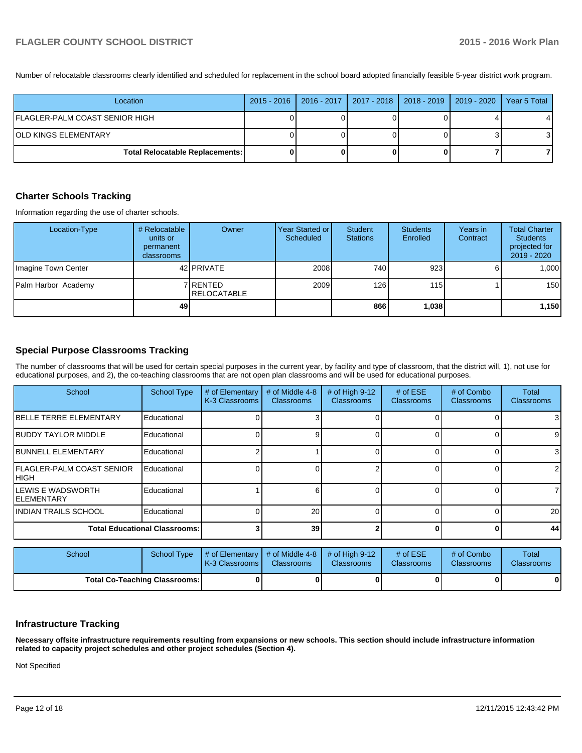Number of relocatable classrooms clearly identified and scheduled for replacement in the school board adopted financially feasible 5-year district work program.

| Location                               | 2015 - 2016   2016 - 2017   2017 - 2018   2018 - 2019   2019 - 2020 |  | Year 5 Total |
|----------------------------------------|---------------------------------------------------------------------|--|--------------|
| FLAGLER-PALM COAST SENIOR HIGH         |                                                                     |  | 41           |
| IOLD KINGS ELEMENTARY                  |                                                                     |  | 31           |
| <b>Total Relocatable Replacements:</b> |                                                                     |  |              |

#### **Charter Schools Tracking**

Information regarding the use of charter schools.

| Location-Type       | # Relocatable<br>units or<br>permanent<br>classrooms | Owner                           | Year Started or I<br>Scheduled | Student<br><b>Stations</b> | <b>Students</b><br><b>Enrolled</b> | Years in<br>Contract | <b>Total Charter</b><br><b>Students</b><br>projected for<br>$2019 - 2020$ |
|---------------------|------------------------------------------------------|---------------------------------|--------------------------------|----------------------------|------------------------------------|----------------------|---------------------------------------------------------------------------|
| Imagine Town Center |                                                      | 42 <b>PRIVATE</b>               | 2008                           | 740 l                      | 923                                |                      | 1.000                                                                     |
| Palm Harbor Academy |                                                      | 7 RENTED<br><b>IRELOCATABLE</b> | 2009                           | 126                        | 115 <sup>1</sup>                   |                      | 150                                                                       |
|                     | 49                                                   |                                 |                                | 866                        | 1,038                              |                      | 1,150                                                                     |

## **Special Purpose Classrooms Tracking**

The number of classrooms that will be used for certain special purposes in the current year, by facility and type of classroom, that the district will, 1), not use for educational purposes, and 2), the co-teaching classrooms that are not open plan classrooms and will be used for educational purposes.

| School                                          | <b>School Type</b>                   | # of Elementary<br>K-3 Classrooms | # of Middle 4-8<br><b>Classrooms</b> | # of High $9-12$<br>Classrooms | # of $ESE$<br><b>Classrooms</b> | # of Combo<br><b>Classrooms</b> | Total<br><b>Classrooms</b> |
|-------------------------------------------------|--------------------------------------|-----------------------------------|--------------------------------------|--------------------------------|---------------------------------|---------------------------------|----------------------------|
| <b>IBELLE TERRE ELEMENTARY</b>                  | Educational                          |                                   |                                      |                                |                                 |                                 | 3                          |
| <b>IBUDDY TAYLOR MIDDLE</b>                     | Educational                          |                                   |                                      |                                |                                 |                                 | 9                          |
| <b>IBUNNELL ELEMENTARY</b>                      | Educational                          |                                   |                                      |                                |                                 |                                 | 3                          |
| <b>IFLAGLER-PALM COAST SENIOR</b><br>IHIGH      | Educational                          |                                   |                                      |                                |                                 |                                 | $\overline{2}$             |
| <b>ILEWIS E WADSWORTH</b><br><b>IELEMENTARY</b> | Educational                          |                                   |                                      |                                |                                 |                                 |                            |
| <b>IINDIAN TRAILS SCHOOL</b>                    | Educational                          |                                   | 20                                   |                                |                                 |                                 | 20                         |
|                                                 | <b>Total Educational Classrooms:</b> |                                   | 39                                   |                                |                                 |                                 | 44                         |

| School                               | School Type | $\#$ of Elementary $\#$ of Middle 4-8 $\#$ of High 9-12<br><b>IK-3 Classrooms I</b> | <b>Classrooms</b> | <b>Classrooms</b> | # of $ESE$<br><b>Classrooms</b> | # of Combo<br><b>Classrooms</b> | Total<br><b>Classrooms</b> |
|--------------------------------------|-------------|-------------------------------------------------------------------------------------|-------------------|-------------------|---------------------------------|---------------------------------|----------------------------|
| <b>Total Co-Teaching Classrooms:</b> |             |                                                                                     |                   |                   |                                 | 0                               | $\mathbf{0}$               |

#### **Infrastructure Tracking**

**Necessary offsite infrastructure requirements resulting from expansions or new schools. This section should include infrastructure information related to capacity project schedules and other project schedules (Section 4).**

Not Specified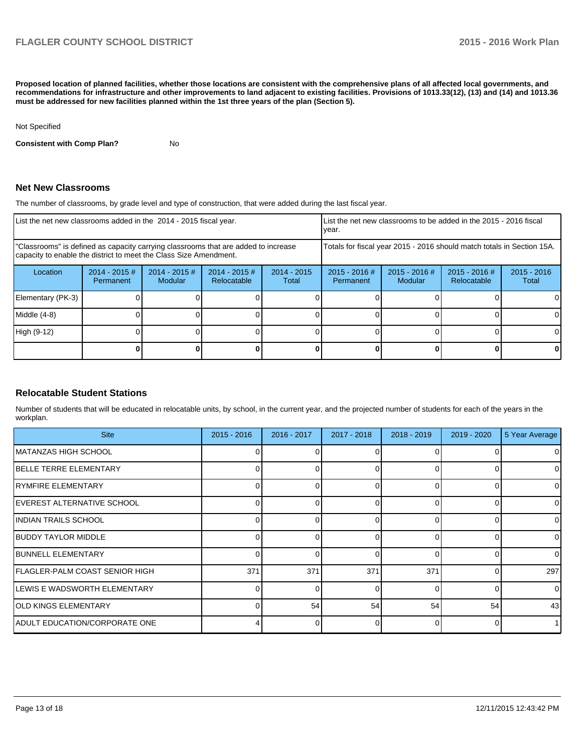**Proposed location of planned facilities, whether those locations are consistent with the comprehensive plans of all affected local governments, and recommendations for infrastructure and other improvements to land adjacent to existing facilities. Provisions of 1013.33(12), (13) and (14) and 1013.36 must be addressed for new facilities planned within the 1st three years of the plan (Section 5).**

Not Specified

**Consistent with Comp Plan?** No

### **Net New Classrooms**

The number of classrooms, by grade level and type of construction, that were added during the last fiscal year.

| List the net new classrooms added in the 2014 - 2015 fiscal year.                                                                                       |                               |                                   |                                |                        | List the net new classrooms to be added in the 2015 - 2016 fiscal<br>Ivear. |                            |                                |                        |
|---------------------------------------------------------------------------------------------------------------------------------------------------------|-------------------------------|-----------------------------------|--------------------------------|------------------------|-----------------------------------------------------------------------------|----------------------------|--------------------------------|------------------------|
| "Classrooms" is defined as capacity carrying classrooms that are added to increase<br>capacity to enable the district to meet the Class Size Amendment. |                               |                                   |                                |                        | Totals for fiscal year 2015 - 2016 should match totals in Section 15A.      |                            |                                |                        |
| Location                                                                                                                                                | $2014 - 2015 \#$<br>Permanent | $2014 - 2015$ #<br><b>Modular</b> | $2014 - 2015$ #<br>Relocatable | $2014 - 2015$<br>Total | $2015 - 2016$ #<br>Permanent                                                | $2015 - 2016$ #<br>Modular | $2015 - 2016$ #<br>Relocatable | $2015 - 2016$<br>Total |
| Elementary (PK-3)                                                                                                                                       |                               |                                   |                                |                        |                                                                             |                            |                                |                        |
| Middle (4-8)                                                                                                                                            |                               |                                   |                                |                        |                                                                             |                            |                                | 0                      |
| High (9-12)                                                                                                                                             |                               |                                   |                                |                        |                                                                             |                            |                                | 0                      |
|                                                                                                                                                         |                               |                                   |                                |                        |                                                                             |                            |                                | 0                      |

#### **Relocatable Student Stations**

Number of students that will be educated in relocatable units, by school, in the current year, and the projected number of students for each of the years in the workplan.

| <b>Site</b>                     | $2015 - 2016$ | $2016 - 2017$ | 2017 - 2018 | $2018 - 2019$ | $2019 - 2020$ | 5 Year Average |
|---------------------------------|---------------|---------------|-------------|---------------|---------------|----------------|
| <b>IMATANZAS HIGH SCHOOL</b>    |               |               |             |               |               | $\overline{0}$ |
| <b>IBELLE TERRE ELEMENTARY</b>  |               |               |             |               |               | $\Omega$       |
| IRYMFIRE ELEMENTARY             |               |               |             |               |               | 0              |
| EVEREST ALTERNATIVE SCHOOL      |               |               |             | ∩             |               | 0              |
| <b>INDIAN TRAILS SCHOOL</b>     |               |               |             | $\Omega$      |               | $\overline{0}$ |
| IBUDDY TAYLOR MIDDLE            |               |               |             | $\Omega$      |               | $\overline{0}$ |
| <b>IBUNNELL ELEMENTARY</b>      |               |               | ∩           | $\Omega$      |               | $\Omega$       |
| IFLAGLER-PALM COAST SENIOR HIGH | 371           | 371           | 371         | 371           |               | 297            |
| ILEWIS E WADSWORTH ELEMENTARY   |               |               | $\Omega$    | $\Omega$      |               | $\Omega$       |
| <b>OLD KINGS ELEMENTARY</b>     |               | 54            | 54          | 54            | 54            | 43             |
| ADULT EDUCATION/CORPORATE ONE   |               |               |             |               |               |                |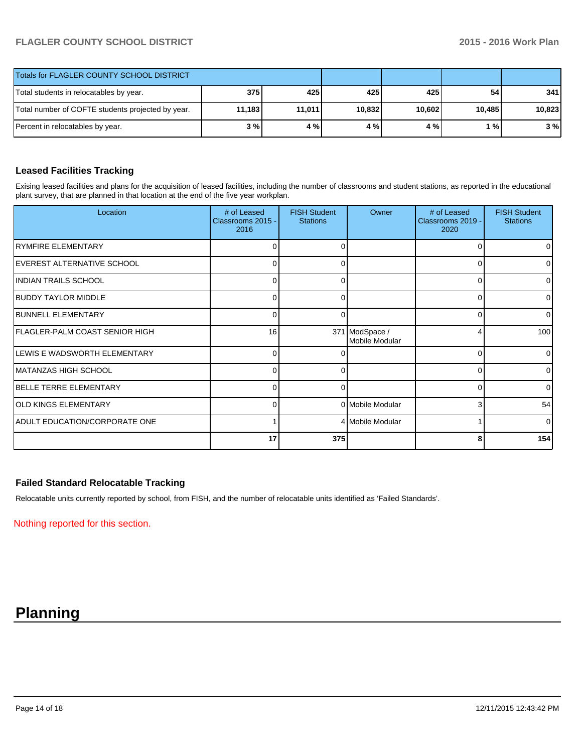| Totals for FLAGLER COUNTY SCHOOL DISTRICT         |        |        |        |        |                 |        |
|---------------------------------------------------|--------|--------|--------|--------|-----------------|--------|
| Total students in relocatables by year.           | 375    | 425    | 425    | 425    | 54 <sub>1</sub> | 341    |
| Total number of COFTE students projected by year. | 11,183 | 11,011 | 10,832 | 10,602 | 10,485          | 10,823 |
| Percent in relocatables by year.                  | 3 % I  | 4 %    | 4%     | 4 % I  | 1%              | 3%     |

# **Leased Facilities Tracking**

Exising leased facilities and plans for the acquisition of leased facilities, including the number of classrooms and student stations, as reported in the educational plant survey, that are planned in that location at the end of the five year workplan.

| Location                             | # of Leased<br>Classrooms 2015 -<br>2016 | <b>FISH Student</b><br><b>Stations</b> | Owner                            | # of Leased<br>Classrooms 2019 -<br>2020 | <b>FISH Student</b><br><b>Stations</b> |
|--------------------------------------|------------------------------------------|----------------------------------------|----------------------------------|------------------------------------------|----------------------------------------|
| <b>IRYMFIRE ELEMENTARY</b>           | 0                                        | O                                      |                                  | 0                                        | $\overline{0}$                         |
| <b>IEVEREST ALTERNATIVE SCHOOL</b>   | $\Omega$                                 | 0                                      |                                  | $\Omega$                                 | $\overline{0}$                         |
| INDIAN TRAILS SCHOOL                 | U                                        | ∩                                      |                                  | 0                                        | $\overline{0}$                         |
| <b>BUDDY TAYLOR MIDDLE</b>           | $\Omega$                                 | 0                                      |                                  | 0                                        | $\overline{0}$                         |
| <b>BUNNELL ELEMENTARY</b>            | 0                                        |                                        |                                  | 0                                        | 0                                      |
| IFLAGLER-PALM COAST SENIOR HIGH      | 16                                       |                                        | 371 ModSpace /<br>Mobile Modular | 4                                        | 100                                    |
| LEWIS E WADSWORTH ELEMENTARY         | $\Omega$                                 |                                        |                                  | O                                        | $\Omega$                               |
| IMATANZAS HIGH SCHOOL                | $\Omega$                                 | 0                                      |                                  | 0                                        | $\overline{0}$                         |
| <b>IBELLE TERRE ELEMENTARY</b>       | 0                                        |                                        |                                  | 0                                        | $\overline{0}$                         |
| <b>OLD KINGS ELEMENTARY</b>          | $\Omega$                                 |                                        | 0 Mobile Modular                 | 3                                        | 54                                     |
| <b>ADULT EDUCATION/CORPORATE ONE</b> |                                          |                                        | 4 Mobile Modular                 |                                          | $\Omega$                               |
|                                      | 17                                       | 375                                    |                                  | 8                                        | 154                                    |

# **Failed Standard Relocatable Tracking**

Relocatable units currently reported by school, from FISH, and the number of relocatable units identified as 'Failed Standards'.

Nothing reported for this section.

# **Planning**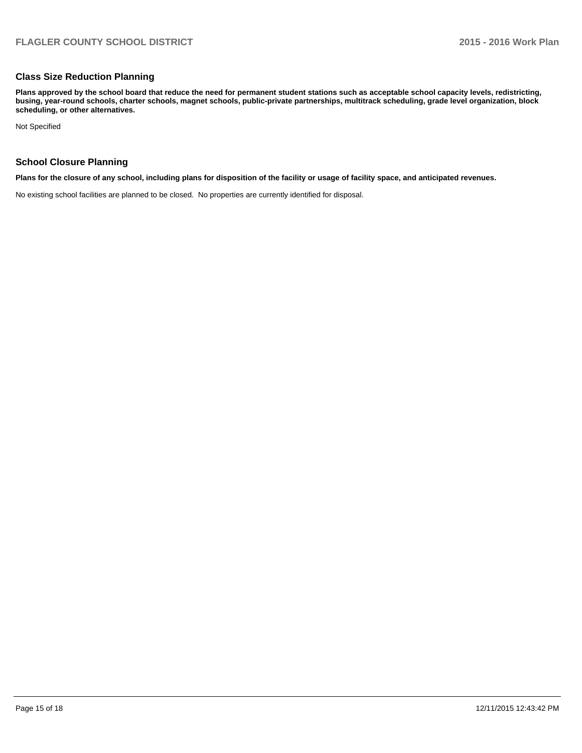## **Class Size Reduction Planning**

**Plans approved by the school board that reduce the need for permanent student stations such as acceptable school capacity levels, redistricting, busing, year-round schools, charter schools, magnet schools, public-private partnerships, multitrack scheduling, grade level organization, block scheduling, or other alternatives.**

Not Specified

## **School Closure Planning**

**Plans for the closure of any school, including plans for disposition of the facility or usage of facility space, and anticipated revenues.**

No existing school facilities are planned to be closed. No properties are currently identified for disposal.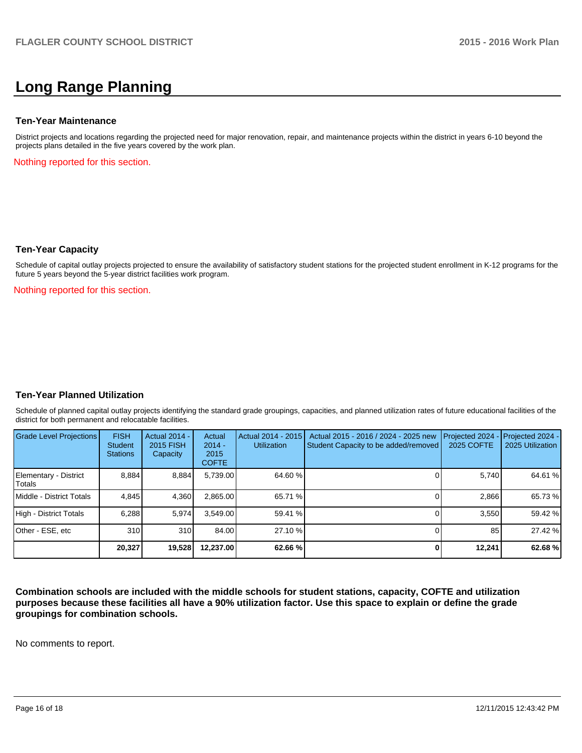# **Long Range Planning**

#### **Ten-Year Maintenance**

District projects and locations regarding the projected need for major renovation, repair, and maintenance projects within the district in years 6-10 beyond the projects plans detailed in the five years covered by the work plan.

Nothing reported for this section.

#### **Ten-Year Capacity**

Schedule of capital outlay projects projected to ensure the availability of satisfactory student stations for the projected student enrollment in K-12 programs for the future 5 years beyond the 5-year district facilities work program.

Nothing reported for this section.

#### **Ten-Year Planned Utilization**

Schedule of planned capital outlay projects identifying the standard grade groupings, capacities, and planned utilization rates of future educational facilities of the district for both permanent and relocatable facilities.

| Grade Level Projections         | <b>FISH</b><br>Student<br><b>Stations</b> | Actual 2014 -<br>2015 FISH<br>Capacity | Actual<br>$2014 -$<br>2015<br><b>COFTE</b> | Actual 2014 - 2015<br><b>Utilization</b> | Actual 2015 - 2016 / 2024 - 2025 new<br>Student Capacity to be added/removed | Projected 2024<br>2025 COFTE | Projected 2024 -<br>2025 Utilization |
|---------------------------------|-------------------------------------------|----------------------------------------|--------------------------------------------|------------------------------------------|------------------------------------------------------------------------------|------------------------------|--------------------------------------|
| Elementary - District<br>Totals | 8,884                                     | 8,884                                  | 5,739.00                                   | 64.60 %                                  |                                                                              | 5,740                        | 64.61 %                              |
| Middle - District Totals        | 4.845                                     | 4.360                                  | 2.865.00                                   | 65.71 %                                  |                                                                              | 2.866                        | 65.73 %                              |
| High - District Totals          | 6.288                                     | 5.974                                  | 3.549.00                                   | 59.41 %                                  |                                                                              | 3.550                        | 59.42 %                              |
| Other - ESE, etc                | 310                                       | 310                                    | 84.00                                      | 27.10 %                                  |                                                                              | 85                           | 27.42 %                              |
|                                 | 20,327                                    | 19,528                                 | 12.237.00                                  | 62.66%                                   |                                                                              | 12,241                       | 62.68%                               |

**Combination schools are included with the middle schools for student stations, capacity, COFTE and utilization purposes because these facilities all have a 90% utilization factor. Use this space to explain or define the grade groupings for combination schools.**

No comments to report.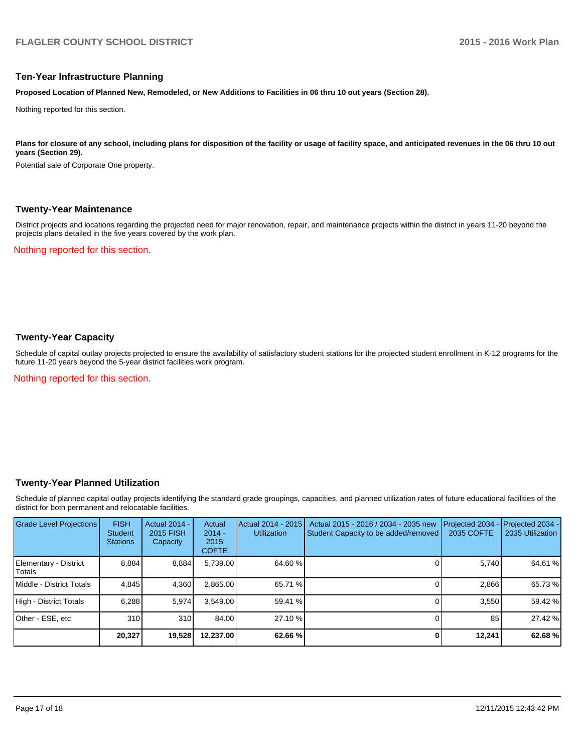#### **Ten-Year Infrastructure Planning**

**Proposed Location of Planned New, Remodeled, or New Additions to Facilities in 06 thru 10 out years (Section 28).**

Nothing reported for this section.

Plans for closure of any school, including plans for disposition of the facility or usage of facility space, and anticipated revenues in the 06 thru 10 out **years (Section 29).**

Potential sale of Corporate One property.

#### **Twenty-Year Maintenance**

District projects and locations regarding the projected need for major renovation, repair, and maintenance projects within the district in years 11-20 beyond the projects plans detailed in the five years covered by the work plan.

Nothing reported for this section.

# **Twenty-Year Capacity**

Schedule of capital outlay projects projected to ensure the availability of satisfactory student stations for the projected student enrollment in K-12 programs for the future 11-20 years beyond the 5-year district facilities work program.

Nothing reported for this section.

#### **Twenty-Year Planned Utilization**

Schedule of planned capital outlay projects identifying the standard grade groupings, capacities, and planned utilization rates of future educational facilities of the district for both permanent and relocatable facilities.

| <b>Grade Level Projections</b>    | <b>FISH</b><br><b>Student</b><br><b>Stations</b> | <b>Actual 2014 -</b><br>2015 FISH<br>Capacity | Actual<br>$2014 -$<br>2015<br><b>COFTE</b> | Actual 2014 - 2015<br><b>Utilization</b> | Actual 2015 - 2016 / 2034 - 2035 new<br>Student Capacity to be added/removed | Projected 2034<br>2035 COFTE | Projected 2034 -<br>2035 Utilization |
|-----------------------------------|--------------------------------------------------|-----------------------------------------------|--------------------------------------------|------------------------------------------|------------------------------------------------------------------------------|------------------------------|--------------------------------------|
| Elementary - District<br>l Totals | 8.884                                            | 8,884                                         | 5,739.00                                   | 64.60 %                                  |                                                                              | 5.740                        | 64.61 %                              |
| Middle - District Totals          | 4.845                                            | 4,360                                         | 2,865.00                                   | 65.71 %                                  |                                                                              | 2.866                        | 65.73 %                              |
| High - District Totals            | 6.288                                            | 5,974                                         | 3.549.00                                   | 59.41 %                                  |                                                                              | 3.550                        | 59.42 %                              |
| Other - ESE, etc                  | 310                                              | 310                                           | 84.00                                      | 27.10 %                                  |                                                                              | 85                           | 27.42 %                              |
|                                   | 20,327                                           | 19,528                                        | 12,237.00                                  | 62.66 %                                  |                                                                              | 12,241                       | 62.68 %                              |